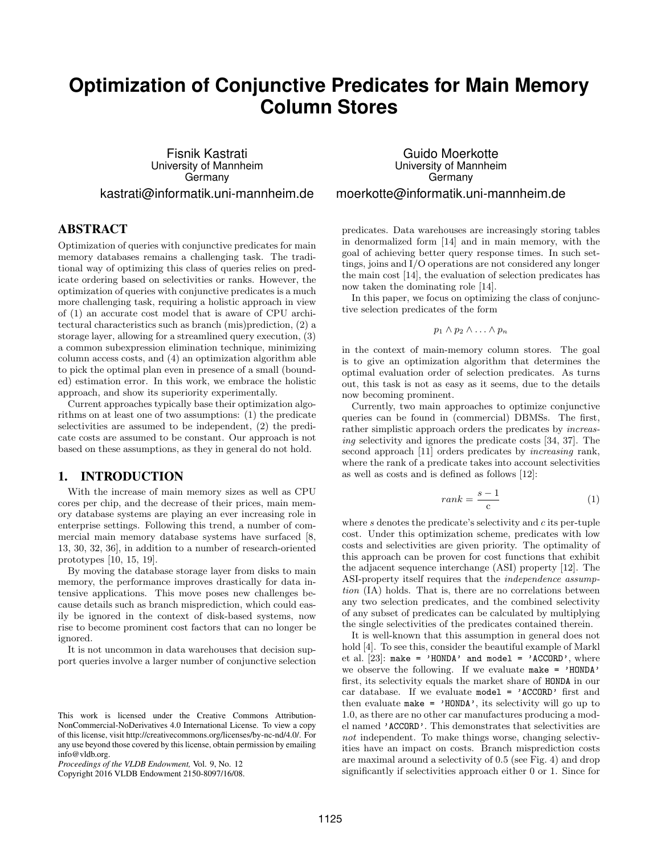# **Optimization of Conjunctive Predicates for Main Memory Column Stores**

Fisnik Kastrati University of Mannheim **Germany** kastrati@informatik.uni-mannheim.de

# ABSTRACT

Optimization of queries with conjunctive predicates for main memory databases remains a challenging task. The traditional way of optimizing this class of queries relies on predicate ordering based on selectivities or ranks. However, the optimization of queries with conjunctive predicates is a much more challenging task, requiring a holistic approach in view of (1) an accurate cost model that is aware of CPU architectural characteristics such as branch (mis)prediction, (2) a storage layer, allowing for a streamlined query execution, (3) a common subexpression elimination technique, minimizing column access costs, and (4) an optimization algorithm able to pick the optimal plan even in presence of a small (bounded) estimation error. In this work, we embrace the holistic approach, and show its superiority experimentally.

Current approaches typically base their optimization algorithms on at least one of two assumptions: (1) the predicate selectivities are assumed to be independent, (2) the predicate costs are assumed to be constant. Our approach is not based on these assumptions, as they in general do not hold.

# 1. INTRODUCTION

With the increase of main memory sizes as well as CPU cores per chip, and the decrease of their prices, main memory database systems are playing an ever increasing role in enterprise settings. Following this trend, a number of commercial main memory database systems have surfaced [8, 13, 30, 32, 36], in addition to a number of research-oriented prototypes [10, 15, 19].

By moving the database storage layer from disks to main memory, the performance improves drastically for data intensive applications. This move poses new challenges because details such as branch misprediction, which could easily be ignored in the context of disk-based systems, now rise to become prominent cost factors that can no longer be ignored.

It is not uncommon in data warehouses that decision support queries involve a larger number of conjunctive selection

Copyright 2016 VLDB Endowment 2150-8097/16/08.

Guido Moerkotte University of Mannheim **Germany** moerkotte@informatik.uni-mannheim.de

predicates. Data warehouses are increasingly storing tables in denormalized form [14] and in main memory, with the goal of achieving better query response times. In such settings, joins and I/O operations are not considered any longer the main cost [14], the evaluation of selection predicates has now taken the dominating role [14].

In this paper, we focus on optimizing the class of conjunctive selection predicates of the form

$$
p_1 \wedge p_2 \wedge \ldots \wedge p_n
$$

in the context of main-memory column stores. The goal is to give an optimization algorithm that determines the optimal evaluation order of selection predicates. As turns out, this task is not as easy as it seems, due to the details now becoming prominent.

Currently, two main approaches to optimize conjunctive queries can be found in (commercial) DBMSs. The first, rather simplistic approach orders the predicates by increasing selectivity and ignores the predicate costs [34, 37]. The second approach [11] orders predicates by increasing rank, where the rank of a predicate takes into account selectivities as well as costs and is defined as follows [12]:

$$
rank = \frac{s-1}{c} \tag{1}
$$

where  $s$  denotes the predicate's selectivity and  $c$  its per-tuple cost. Under this optimization scheme, predicates with low costs and selectivities are given priority. The optimality of this approach can be proven for cost functions that exhibit the adjacent sequence interchange (ASI) property [12]. The ASI-property itself requires that the *independence* assumption (IA) holds. That is, there are no correlations between any two selection predicates, and the combined selectivity of any subset of predicates can be calculated by multiplying the single selectivities of the predicates contained therein.

It is well-known that this assumption in general does not hold [4]. To see this, consider the beautiful example of Markl et al. [23]: make = 'HONDA' and model = 'ACCORD', where we observe the following. If we evaluate make = 'HONDA' first, its selectivity equals the market share of HONDA in our car database. If we evaluate model = 'ACCORD' first and then evaluate make =  $'HONDA'$ , its selectivity will go up to 1.0, as there are no other car manufactures producing a model named 'ACCORD'. This demonstrates that selectivities are not independent. To make things worse, changing selectivities have an impact on costs. Branch misprediction costs are maximal around a selectivity of 0.5 (see Fig. 4) and drop significantly if selectivities approach either 0 or 1. Since for

This work is licensed under the Creative Commons Attribution-NonCommercial-NoDerivatives 4.0 International License. To view a copy of this license, visit http://creativecommons.org/licenses/by-nc-nd/4.0/. For any use beyond those covered by this license, obtain permission by emailing info@vldb.org.

*Proceedings of the VLDB Endowment,* Vol. 9, No. 12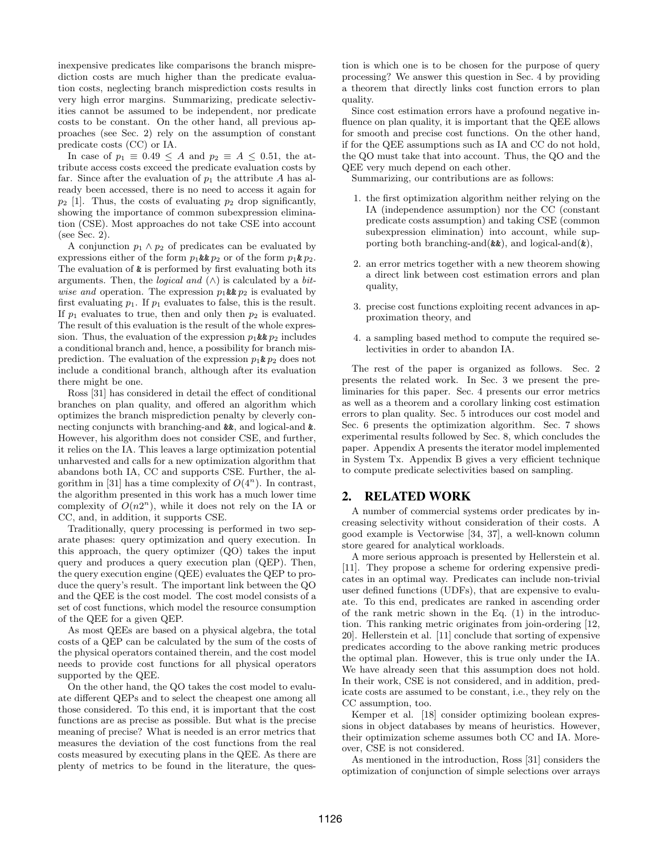inexpensive predicates like comparisons the branch misprediction costs are much higher than the predicate evaluation costs, neglecting branch misprediction costs results in very high error margins. Summarizing, predicate selectivities cannot be assumed to be independent, nor predicate costs to be constant. On the other hand, all previous approaches (see Sec. 2) rely on the assumption of constant predicate costs (CC) or IA.

In case of  $p_1 \equiv 0.49 \leq A$  and  $p_2 \equiv A \leq 0.51$ , the attribute access costs exceed the predicate evaluation costs by far. Since after the evaluation of  $p_1$  the attribute A has already been accessed, there is no need to access it again for  $p_2$  [1]. Thus, the costs of evaluating  $p_2$  drop significantly, showing the importance of common subexpression elimination (CSE). Most approaches do not take CSE into account (see Sec. 2).

A conjunction  $p_1 \wedge p_2$  of predicates can be evaluated by expressions either of the form  $p_1 \& p_2$  or of the form  $p_1 \& p_2$ . The evaluation of & is performed by first evaluating both its arguments. Then, the *logical* and  $(\wedge)$  is calculated by a *bit*wise and operation. The expression  $p_1 \& p_2$  is evaluated by first evaluating  $p_1$ . If  $p_1$  evaluates to false, this is the result. If  $p_1$  evaluates to true, then and only then  $p_2$  is evaluated. The result of this evaluation is the result of the whole expression. Thus, the evaluation of the expression  $p_1 \& p_2$  includes a conditional branch and, hence, a possibility for branch misprediction. The evaluation of the expression  $p_1 \& p_2$  does not include a conditional branch, although after its evaluation there might be one.

Ross [31] has considered in detail the effect of conditional branches on plan quality, and offered an algorithm which optimizes the branch misprediction penalty by cleverly connecting conjuncts with branching-and &&, and logical-and &. However, his algorithm does not consider CSE, and further, it relies on the IA. This leaves a large optimization potential unharvested and calls for a new optimization algorithm that abandons both IA, CC and supports CSE. Further, the algorithm in [31] has a time complexity of  $O(4^n)$ . In contrast, the algorithm presented in this work has a much lower time complexity of  $O(n2^n)$ , while it does not rely on the IA or CC, and, in addition, it supports CSE.

Traditionally, query processing is performed in two separate phases: query optimization and query execution. In this approach, the query optimizer (QO) takes the input query and produces a query execution plan (QEP). Then, the query execution engine (QEE) evaluates the QEP to produce the query's result. The important link between the QO and the QEE is the cost model. The cost model consists of a set of cost functions, which model the resource consumption of the QEE for a given QEP.

As most QEEs are based on a physical algebra, the total costs of a QEP can be calculated by the sum of the costs of the physical operators contained therein, and the cost model needs to provide cost functions for all physical operators supported by the QEE.

On the other hand, the QO takes the cost model to evaluate different QEPs and to select the cheapest one among all those considered. To this end, it is important that the cost functions are as precise as possible. But what is the precise meaning of precise? What is needed is an error metrics that measures the deviation of the cost functions from the real costs measured by executing plans in the QEE. As there are plenty of metrics to be found in the literature, the question is which one is to be chosen for the purpose of query processing? We answer this question in Sec. 4 by providing a theorem that directly links cost function errors to plan quality.

Since cost estimation errors have a profound negative influence on plan quality, it is important that the QEE allows for smooth and precise cost functions. On the other hand, if for the QEE assumptions such as IA and CC do not hold, the QO must take that into account. Thus, the QO and the QEE very much depend on each other.

Summarizing, our contributions are as follows:

- 1. the first optimization algorithm neither relying on the IA (independence assumption) nor the CC (constant predicate costs assumption) and taking CSE (common subexpression elimination) into account, while supporting both branching-and $(\&\&)$ , and logical-and $(\&)$ ,
- 2. an error metrics together with a new theorem showing a direct link between cost estimation errors and plan quality,
- 3. precise cost functions exploiting recent advances in approximation theory, and
- 4. a sampling based method to compute the required selectivities in order to abandon IA.

The rest of the paper is organized as follows. Sec. 2 presents the related work. In Sec. 3 we present the preliminaries for this paper. Sec. 4 presents our error metrics as well as a theorem and a corollary linking cost estimation errors to plan quality. Sec. 5 introduces our cost model and Sec. 6 presents the optimization algorithm. Sec. 7 shows experimental results followed by Sec. 8, which concludes the paper. Appendix A presents the iterator model implemented in System Tx. Appendix B gives a very efficient technique to compute predicate selectivities based on sampling.

# 2. RELATED WORK

A number of commercial systems order predicates by increasing selectivity without consideration of their costs. A good example is Vectorwise [34, 37], a well-known column store geared for analytical workloads.

A more serious approach is presented by Hellerstein et al. [11]. They propose a scheme for ordering expensive predicates in an optimal way. Predicates can include non-trivial user defined functions (UDFs), that are expensive to evaluate. To this end, predicates are ranked in ascending order of the rank metric shown in the Eq. (1) in the introduction. This ranking metric originates from join-ordering [12, 20]. Hellerstein et al. [11] conclude that sorting of expensive predicates according to the above ranking metric produces the optimal plan. However, this is true only under the IA. We have already seen that this assumption does not hold. In their work, CSE is not considered, and in addition, predicate costs are assumed to be constant, i.e., they rely on the CC assumption, too.

Kemper et al. [18] consider optimizing boolean expressions in object databases by means of heuristics. However, their optimization scheme assumes both CC and IA. Moreover, CSE is not considered.

As mentioned in the introduction, Ross [31] considers the optimization of conjunction of simple selections over arrays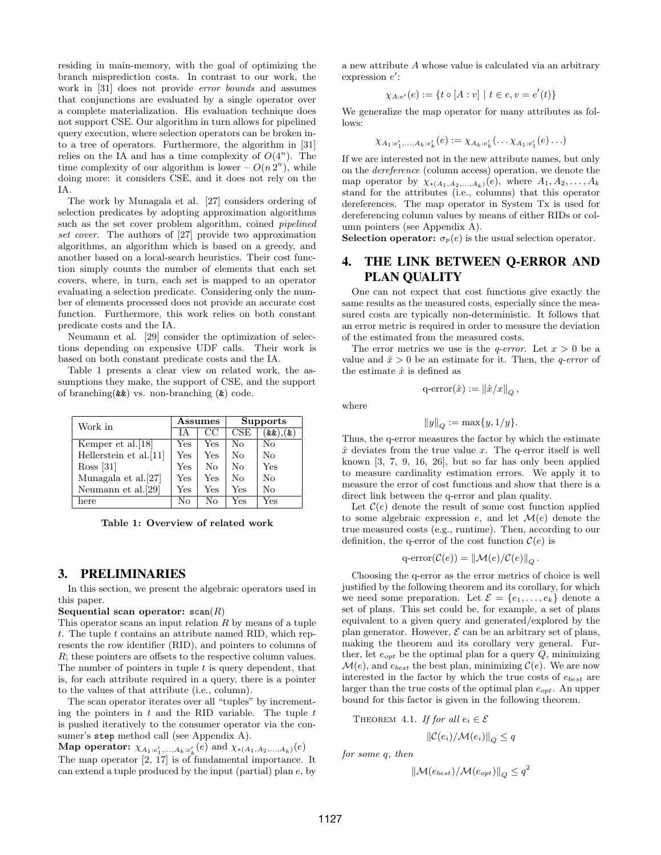residing in main-memory, with the goal of optimizing the branch misprediction costs. In contrast to our work, the work in [31] does not provide error bounds and assumes that conjunctions are evaluated by a single operator over a complete materialization. His evaluation technique does not support CSE. Our algorithm in turn allows for pipelined query execution, where selection operators can be broken into a tree of operators. Furthermore, the algorithm in [31] relies on the IA and has a time complexity of  $O(4^n)$ . The time complexity of our algorithm is lower –  $O(n 2^n)$ , while doing more: it considers CSE, and it does not rely on the IA.

The work by Munagala et al. [27] considers ordering of selection predicates by adopting approximation algorithms such as the set cover problem algorithm, coined *pipelined* set cover. The authors of [27] provide two approximation algorithms, an algorithm which is based on a greedy, and another based on a local-search heuristics. Their cost function simply counts the number of elements that each set covers, where, in turn, each set is mapped to an operator evaluating a selection predicate. Considering only the number of elements processed does not provide an accurate cost function. Furthermore, this work relies on both constant predicate costs and the IA.

Neumann et al. [29] consider the optimization of selections depending on expensive UDF calls. Their work is based on both constant predicate costs and the IA.

Table 1 presents a clear view on related work, the assumptions they make, the support of CSE, and the support of branching( $\&$ ) vs. non-branching  $(\&)$  code.

| Work in                |      | Assumes        | <b>Supports</b> |              |  |
|------------------------|------|----------------|-----------------|--------------|--|
|                        | TА   | CC             | CSE             | '&&).<br>(x) |  |
| Kemper et al. [18]     | Yes  | Yes            | No              | No           |  |
| Hellerstein et al.[11] | Yes  | Yes            | No              | No           |  |
| Ross [31]              | Yes. | N <sub>0</sub> | No              | Yes          |  |
| Munagala et al. [27]   | Yes  | Yes            | No              | No           |  |
| Neumann et al.[29]     | Yes  | Yes            | Yes             | No           |  |
| here                   | No   | Nο             | Yes             | Yes          |  |

Table 1: Overview of related work

#### 3. PRELIMINARIES

In this section, we present the algebraic operators used in this paper.

#### Sequential scan operator:  $\text{scan}(R)$

This operator scans an input relation  $R$  by means of a tuple  $t$ . The tuple  $t$  contains an attribute named RID, which represents the row identifier (RID), and pointers to columns of R; these pointers are offsets to the respective column values. The number of pointers in tuple  $t$  is query dependent, that is, for each attribute required in a query, there is a pointer to the values of that attribute (i.e., column).

The scan operator iterates over all "tuples" by incrementing the pointers in  $t$  and the RID variable. The tuple  $t$ is pushed iteratively to the consumer operator via the consumer's step method call (see Appendix A).

Map operator:  $\chi_{A_1:e'_1,...,A_k:e'_k}(e)$  and  $\chi_{*(A_1,A_2,...,A_k)}(e)$ The map operator [2, 17] is of fundamental importance. It can extend a tuple produced by the input (partial) plan e, by a new attribute A whose value is calculated via an arbitrary expression  $e'$ :

$$
\chi_{A:e'}(e) := \{ t \circ [A:v] \mid t \in e, v = e'(t) \}
$$

We generalize the map operator for many attributes as follows:

$$
\chi_{A_1:e'_1,\ldots,A_k:e'_k}(e) := \chi_{A_k:e'_k}(\ldots \chi_{A_1:e'_1}(e) \ldots)
$$

If we are interested not in the new attribute names, but only on the dereference (column access) operation, we denote the map operator by  $\chi_{*(A_1,A_2,...,A_k)}(e)$ , where  $A_1, A_2,..., A_k$ stand for the attributes (i.e., columns) that this operator dereferences. The map operator in System Tx is used for dereferencing column values by means of either RIDs or column pointers (see Appendix A).

**Selection operator:**  $\sigma_p(e)$  is the usual selection operator.

# 4. THE LINK BETWEEN Q-ERROR AND PLAN QUALITY

One can not expect that cost functions give exactly the same results as the measured costs, especially since the measured costs are typically non-deterministic. It follows that an error metric is required in order to measure the deviation of the estimated from the measured costs.

The error metrics we use is the *q-error*. Let  $x > 0$  be a value and  $\hat{x} > 0$  be an estimate for it. Then, the *q-error* of the estimate  $\hat{x}$  is defined as

$$
q\text{-error}(\hat{x}) := \left\|\hat{x}/x\right\|_Q,
$$

where

$$
||y||_Q := \max\{y, 1/y\}.
$$

Thus, the q-error measures the factor by which the estimate  $\hat{x}$  deviates from the true value x. The q-error itself is well known [3, 7, 9, 16, 26], but so far has only been applied to measure cardinality estimation errors. We apply it to measure the error of cost functions and show that there is a direct link between the q-error and plan quality.

Let  $\mathcal{C}(e)$  denote the result of some cost function applied to some algebraic expression e, and let  $\mathcal{M}(e)$  denote the true measured costs (e.g., runtime). Then, according to our definition, the q-error of the cost function  $\mathcal{C}(e)$  is

$$
q\text{-error}(\mathcal{C}(e)) = \|\mathcal{M}(e)/\mathcal{C}(e)\|_{Q}.
$$

Choosing the q-error as the error metrics of choice is well justified by the following theorem and its corollary, for which we need some preparation. Let  $\mathcal{E} = \{e_1, \ldots, e_k\}$  denote a set of plans. This set could be, for example, a set of plans equivalent to a given query and generated/explored by the plan generator. However,  $\mathcal E$  can be an arbitrary set of plans, making the theorem and its corollary very general. Further, let  $e_{opt}$  be the optimal plan for a query  $Q$ , minimizing  $\mathcal{M}(e)$ , and  $e_{best}$  the best plan, minimizing  $\mathcal{C}(e)$ . We are now interested in the factor by which the true costs of  $e_{best}$  are larger than the true costs of the optimal plan  $e_{opt}$ . An upper bound for this factor is given in the following theorem.

THEOREM 4.1. If for all  $e_i \in \mathcal{E}$ 

$$
\|\mathcal{C}(e_i)/\mathcal{M}(e_i)\|_{Q} \leq q
$$

for some q, then

$$
\|\mathcal{M}(e_{best})/\mathcal{M}(e_{opt})\|_Q \leq q^2
$$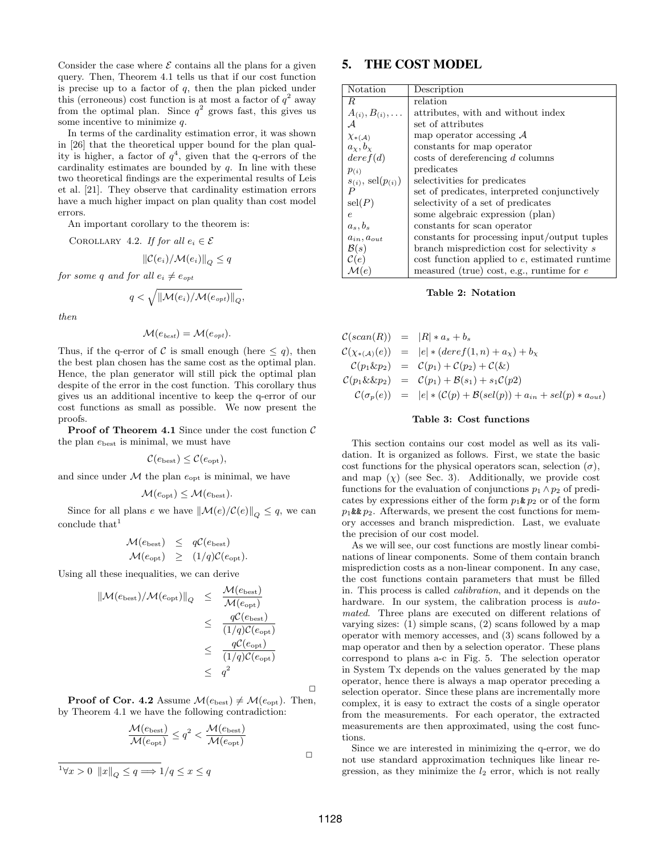Consider the case where  $\mathcal E$  contains all the plans for a given query. Then, Theorem 4.1 tells us that if our cost function is precise up to a factor of  $q$ , then the plan picked under this (erroneous) cost function is at most a factor of  $q^2$  away from the optimal plan. Since  $q^2$  grows fast, this gives us some incentive to minimize  $q$ .

In terms of the cardinality estimation error, it was shown in [26] that the theoretical upper bound for the plan quality is higher, a factor of  $q^4$ , given that the q-errors of the cardinality estimates are bounded by  $q$ . In line with these two theoretical findings are the experimental results of Leis et al. [21]. They observe that cardinality estimation errors have a much higher impact on plan quality than cost model errors.

An important corollary to the theorem is:

COROLLARY 4.2. If for all  $e_i \in \mathcal{E}$ 

$$
\|\mathcal{C}(e_i)/\mathcal{M}(e_i)\|_{Q} \leq q
$$

for some q and for all  $e_i \neq e_{opt}$ 

$$
q < \sqrt{\|\mathcal{M}(e_i)/\mathcal{M}(e_{opt})\|_{Q}},
$$

then

$$
\mathcal{M}(e_{\textit{best}}) = \mathcal{M}(e_{\textit{opt}}).
$$

Thus, if the q-error of C is small enough (here  $\leq q$ ), then the best plan chosen has the same cost as the optimal plan. Hence, the plan generator will still pick the optimal plan despite of the error in the cost function. This corollary thus gives us an additional incentive to keep the q-error of our cost functions as small as possible. We now present the proofs.

**Proof of Theorem 4.1** Since under the cost function  $\mathcal{C}$ the plan  $e_{best}$  is minimal, we must have

$$
\mathcal{C}(e_{\text{best}}) \leq \mathcal{C}(e_{\text{opt}}),
$$

and since under  $M$  the plan  $e_{opt}$  is minimal, we have

$$
\mathcal{M}(e_{\rm opt}) \leq \mathcal{M}(e_{\rm best}).
$$

Since for all plans e we have  $\|\mathcal{M}(e)/\mathcal{C}(e)\|_{\mathcal{O}} \leq q$ , we can conclude that  $1$ 

$$
\mathcal{M}(e_{\text{best}}) \leq q\mathcal{C}(e_{\text{best}})
$$
  

$$
\mathcal{M}(e_{\text{opt}}) \geq (1/q)\mathcal{C}(e_{\text{opt}}).
$$

Using all these inequalities, we can derive

$$
\|\mathcal{M}(e_{\text{best}})/\mathcal{M}(e_{\text{opt}})\|_{Q} \leq \frac{\mathcal{M}(e_{\text{best}})}{\mathcal{M}(e_{\text{opt}})} \leq \frac{q\mathcal{C}(e_{\text{best}})}{(1/q)\mathcal{C}(e_{\text{opt}})} \leq \frac{q\mathcal{C}(e_{\text{opt}})}{(1/q)\mathcal{C}(e_{\text{opt}})} \leq \frac{q\mathcal{C}(e_{\text{opt}})}{q^2}
$$

**Proof of Cor. 4.2** Assume  $\mathcal{M}(e_{\text{best}}) \neq \mathcal{M}(e_{\text{opt}})$ . Then, by Theorem 4.1 we have the following contradiction:

$$
\frac{\mathcal{M}(e_{\text{best}})}{\mathcal{M}(e_{\text{opt}})} \le q^2 < \frac{\mathcal{M}(e_{\text{best}})}{\mathcal{M}(e_{\text{opt}})}
$$
\n
$$
\frac{1}{\forall x > 0 \|\bar{x}\|_Q \le q \Longrightarrow 1/q \le x \le q} \Box
$$

# 5. THE COST MODEL

| Notation                    | Description                                       |
|-----------------------------|---------------------------------------------------|
| R                           | relation                                          |
| $A_{(i)}, B_{(i)}, \ldots$  | attributes, with and without index                |
| А                           | set of attributes                                 |
| $\chi_{*(\mathcal{A})}$     | map operator accessing $A$                        |
| $a_x, b_x$                  | constants for map operator                        |
| deref(d)                    | costs of dereferencing d columns                  |
| p(i)                        | predicates                                        |
| $s_{(i)}$ , sel $(p_{(i)})$ | selectivities for predicates                      |
| $\boldsymbol{P}$            | set of predicates, interpreted conjunctively      |
| $\operatorname{sel}(P)$     | selectivity of a set of predicates                |
| $\epsilon$                  | some algebraic expression (plan)                  |
| $a_s, b_s$                  | constants for scan operator                       |
| $a_{in}$ , $a_{out}$        | constants for processing input/output tuples      |
| $\mathcal{B}(s)$            | branch misprediction cost for selectivity s       |
| $\mathcal{C}(e)$            | $\cos t$ function applied to e, estimated runtime |
| $\mathcal{M}(e)$            | measured (true) cost, e.g., runtime for $e$       |

Table 2: Notation

$$
C(\operatorname{scan}(R)) = |R| * a_s + b_s
$$
  
\n
$$
C(\chi_{*(A)}(e)) = |e| * (\operatorname{dere} f(1, n) + a_\chi) + b_\chi
$$
  
\n
$$
C(p_1 \& p_2) = C(p_1) + C(p_2) + C(\&)
$$
  
\n
$$
C(p_1 \& p_2) = C(p_1) + B(s_1) + s_1 C(p_2)
$$
  
\n
$$
C(\sigma_p(e)) = |e| * (C(p) + B(\operatorname{sel}(p)) + a_{in} + \operatorname{sel}(p) * a_{out})
$$

#### Table 3: Cost functions

This section contains our cost model as well as its validation. It is organized as follows. First, we state the basic cost functions for the physical operators scan, selection  $(\sigma)$ , and map  $(\chi)$  (see Sec. 3). Additionally, we provide cost functions for the evaluation of conjunctions  $p_1 \wedge p_2$  of predicates by expressions either of the form  $p_1 \& p_2$  or of the form  $p_1$ &&  $p_2$ . Afterwards, we present the cost functions for memory accesses and branch misprediction. Last, we evaluate the precision of our cost model.

As we will see, our cost functions are mostly linear combinations of linear components. Some of them contain branch misprediction costs as a non-linear component. In any case, the cost functions contain parameters that must be filled in. This process is called calibration, and it depends on the hardware. In our system, the calibration process is *auto*mated. Three plans are executed on different relations of varying sizes: (1) simple scans, (2) scans followed by a map operator with memory accesses, and (3) scans followed by a map operator and then by a selection operator. These plans correspond to plans a-c in Fig. 5. The selection operator in System Tx depends on the values generated by the map operator, hence there is always a map operator preceding a selection operator. Since these plans are incrementally more complex, it is easy to extract the costs of a single operator from the measurements. For each operator, the extracted measurements are then approximated, using the cost functions.

Since we are interested in minimizing the q-error, we do not use standard approximation techniques like linear regression, as they minimize the  $l_2$  error, which is not really

 $\Box$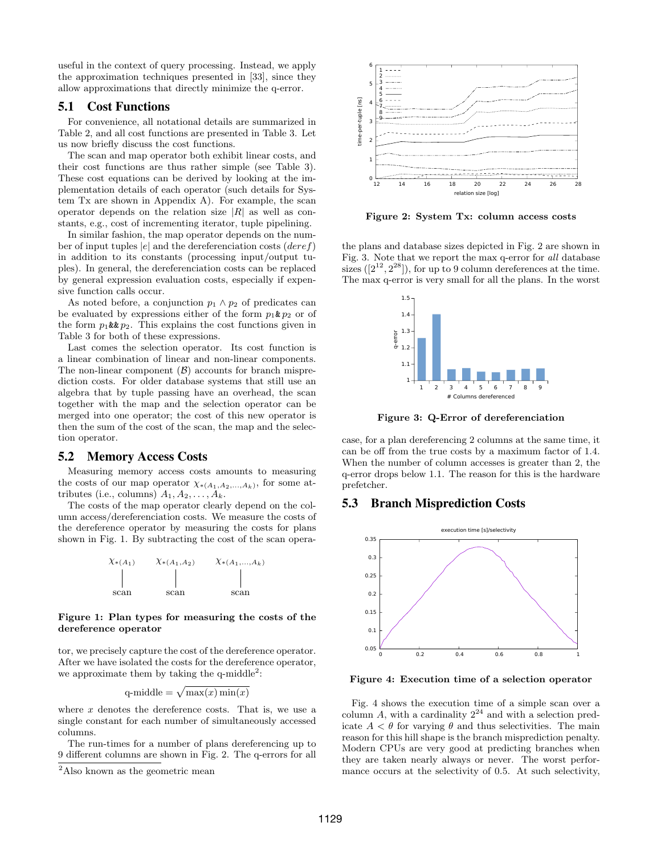useful in the context of query processing. Instead, we apply the approximation techniques presented in [33], since they allow approximations that directly minimize the q-error.

# 5.1 Cost Functions

For convenience, all notational details are summarized in Table 2, and all cost functions are presented in Table 3. Let us now briefly discuss the cost functions.

The scan and map operator both exhibit linear costs, and their cost functions are thus rather simple (see Table 3). These cost equations can be derived by looking at the implementation details of each operator (such details for System Tx are shown in Appendix A). For example, the scan operator depends on the relation size  $|R|$  as well as constants, e.g., cost of incrementing iterator, tuple pipelining.

In similar fashion, the map operator depends on the number of input tuples  $|e|$  and the dereferenciation costs  $(deref)$ in addition to its constants (processing input/output tuples). In general, the dereferenciation costs can be replaced by general expression evaluation costs, especially if expensive function calls occur.

As noted before, a conjunction  $p_1 \wedge p_2$  of predicates can be evaluated by expressions either of the form  $p_1 \& p_2$  or of the form  $p_1$ &  $p_2$ . This explains the cost functions given in Table 3 for both of these expressions.

Last comes the selection operator. Its cost function is a linear combination of linear and non-linear components. The non-linear component  $(\beta)$  accounts for branch misprediction costs. For older database systems that still use an algebra that by tuple passing have an overhead, the scan together with the map and the selection operator can be merged into one operator; the cost of this new operator is then the sum of the cost of the scan, the map and the selection operator.

# 5.2 Memory Access Costs

Measuring memory access costs amounts to measuring the costs of our map operator  $\chi_{*(A_1,A_2,...,A_k)}$ , for some attributes (i.e., columns)  $A_1, A_2, \ldots, A_k$ .

The costs of the map operator clearly depend on the column access/dereferenciation costs. We measure the costs of the dereference operator by measuring the costs for plans shown in Fig. 1. By subtracting the cost of the scan opera-



#### Figure 1: Plan types for measuring the costs of the dereference operator

tor, we precisely capture the cost of the dereference operator. After we have isolated the costs for the dereference operator, we approximate them by taking the  $q$ -middle<sup>2</sup>:

q-middle = 
$$
\sqrt{\max(x)\min(x)}
$$

where  $x$  denotes the dereference costs. That is, we use a single constant for each number of simultaneously accessed columns.

The run-times for a number of plans dereferencing up to 9 different columns are shown in Fig. 2. The q-errors for all



Figure 2: System Tx: column access costs

the plans and database sizes depicted in Fig. 2 are shown in Fig. 3. Note that we report the max q-error for all database sizes  $([2^{12}, 2^{28}])$ , for up to 9 column dereferences at the time. The max q-error is very small for all the plans. In the worst



Figure 3: Q-Error of dereferenciation

case, for a plan dereferencing 2 columns at the same time, it can be off from the true costs by a maximum factor of 1.4. When the number of column accesses is greater than 2, the q-error drops below 1.1. The reason for this is the hardware prefetcher.

# 5.3 Branch Misprediction Costs



Figure 4: Execution time of a selection operator

Fig. 4 shows the execution time of a simple scan over a column A, with a cardinality  $2^{24}$  and with a selection predicate  $A < \theta$  for varying  $\theta$  and thus selectivities. The main reason for this hill shape is the branch misprediction penalty. Modern CPUs are very good at predicting branches when they are taken nearly always or never. The worst performance occurs at the selectivity of 0.5. At such selectivity,

<sup>&</sup>lt;sup>2</sup>Also known as the geometric mean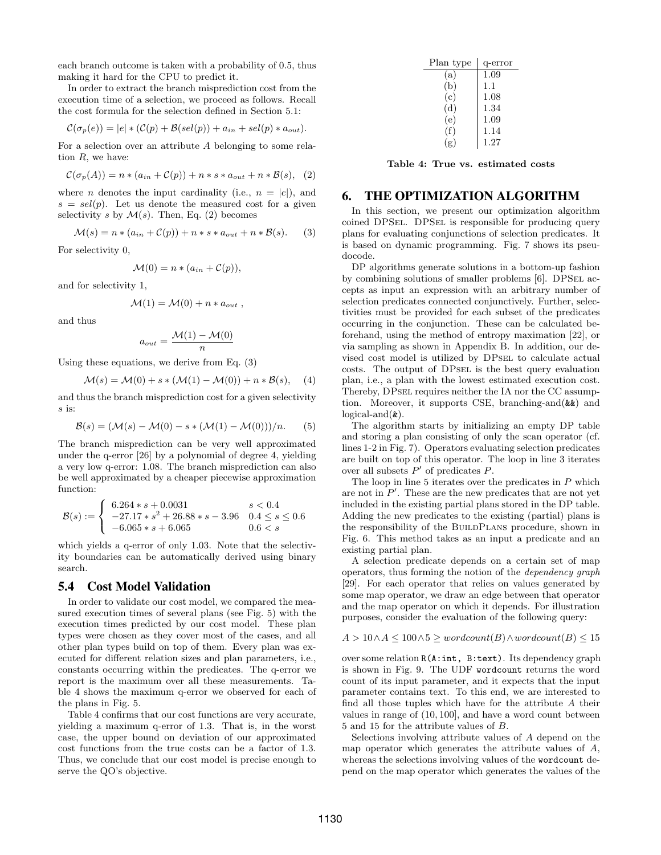each branch outcome is taken with a probability of 0.5, thus making it hard for the CPU to predict it.

In order to extract the branch misprediction cost from the execution time of a selection, we proceed as follows. Recall the cost formula for the selection defined in Section 5.1:

$$
\mathcal{C}(\sigma_p(e)) = |e| * (\mathcal{C}(p) + \mathcal{B}(sel(p)) + a_{in} + sel(p) * a_{out}).
$$

For a selection over an attribute A belonging to some relation  $R$ , we have:

$$
\mathcal{C}(\sigma_p(A)) = n * (a_{in} + \mathcal{C}(p)) + n * s * a_{out} + n * \mathcal{B}(s), (2)
$$

where *n* denotes the input cardinality (i.e.,  $n = |e|$ ), and  $s = sel(p)$ . Let us denote the measured cost for a given selectivity s by  $\mathcal{M}(s)$ . Then, Eq. (2) becomes

$$
\mathcal{M}(s) = n * (a_{in} + \mathcal{C}(p)) + n * s * a_{out} + n * \mathcal{B}(s).
$$
 (3)

For selectivity 0,

$$
\mathcal{M}(0) = n * (a_{in} + \mathcal{C}(p)),
$$

and for selectivity 1,

$$
\mathcal{M}(1) = \mathcal{M}(0) + n * a_{out} ,
$$

and thus

$$
a_{out} = \frac{\mathcal{M}(1) - \mathcal{M}(0)}{n}
$$

Using these equations, we derive from Eq. (3)

$$
\mathcal{M}(s) = \mathcal{M}(0) + s * (\mathcal{M}(1) - \mathcal{M}(0)) + n * \mathcal{B}(s), \quad (4)
$$

and thus the branch misprediction cost for a given selectivity s is:

$$
\mathcal{B}(s) = (\mathcal{M}(s) - \mathcal{M}(0) - s * (\mathcal{M}(1) - \mathcal{M}(0)))/n.
$$
 (5)

The branch misprediction can be very well approximated under the q-error [26] by a polynomial of degree 4, yielding a very low q-error: 1.08. The branch misprediction can also be well approximated by a cheaper piecewise approximation function:

$$
\mathcal{B}(s) := \begin{cases} 6.264 * s + 0.0031 & s < 0.4 \\ -27.17 * s^2 + 26.88 * s - 3.96 & 0.4 \le s \le 0.6 \\ -6.065 * s + 6.065 & 0.6 < s \end{cases}
$$

which yields a q-error of only 1.03. Note that the selectivity boundaries can be automatically derived using binary search.

# 5.4 Cost Model Validation

In order to validate our cost model, we compared the measured execution times of several plans (see Fig. 5) with the execution times predicted by our cost model. These plan types were chosen as they cover most of the cases, and all other plan types build on top of them. Every plan was executed for different relation sizes and plan parameters, i.e., constants occurring within the predicates. The q-error we report is the maximum over all these measurements. Table 4 shows the maximum q-error we observed for each of the plans in Fig. 5.

Table 4 confirms that our cost functions are very accurate, yielding a maximum q-error of 1.3. That is, in the worst case, the upper bound on deviation of our approximated cost functions from the true costs can be a factor of 1.3. Thus, we conclude that our cost model is precise enough to serve the QO's objective.

| Plan type | q-error |
|-----------|---------|
| (a)       | 1.09    |
| (b)       | 1.1     |
| (c)       | 1.08    |
| (d)       | 1.34    |
| (e)       | 1.09    |
| (f)       | 1.14    |
| (g)       | 1.27    |

Table 4: True vs. estimated costs

# 6. THE OPTIMIZATION ALGORITHM

In this section, we present our optimization algorithm coined DPSel. DPSel is responsible for producing query plans for evaluating conjunctions of selection predicates. It is based on dynamic programming. Fig. 7 shows its pseudocode.

DP algorithms generate solutions in a bottom-up fashion by combining solutions of smaller problems [6]. DPSEL accepts as input an expression with an arbitrary number of selection predicates connected conjunctively. Further, selectivities must be provided for each subset of the predicates occurring in the conjunction. These can be calculated beforehand, using the method of entropy maximation [22], or via sampling as shown in Appendix B. In addition, our devised cost model is utilized by DPsel to calculate actual costs. The output of DPsel is the best query evaluation plan, i.e., a plan with the lowest estimated execution cost. Thereby, DPsel requires neither the IA nor the CC assumption. Moreover, it supports CSE, branching-and(&&) and  $logical-and(**k**)$ .

The algorithm starts by initializing an empty DP table and storing a plan consisting of only the scan operator (cf. lines 1-2 in Fig. 7). Operators evaluating selection predicates are built on top of this operator. The loop in line 3 iterates over all subsets  $P'$  of predicates  $P$ .

The loop in line  $5$  iterates over the predicates in  $P$  which are not in  $P'$ . These are the new predicates that are not yet included in the existing partial plans stored in the DP table. Adding the new predicates to the existing (partial) plans is the responsibility of the BUILDPLANS procedure, shown in Fig. 6. This method takes as an input a predicate and an existing partial plan.

A selection predicate depends on a certain set of map operators, thus forming the notion of the dependency graph [29]. For each operator that relies on values generated by some map operator, we draw an edge between that operator and the map operator on which it depends. For illustration purposes, consider the evaluation of the following query:

$$
A > 10 \land A \le 100 \land 5 \ge wordcount(B) \land wordcount(B) \le 15
$$

over some relation R(A:int, B:text). Its dependency graph is shown in Fig. 9. The UDF wordcount returns the word count of its input parameter, and it expects that the input parameter contains text. To this end, we are interested to find all those tuples which have for the attribute A their values in range of (10, 100], and have a word count between 5 and 15 for the attribute values of B.

Selections involving attribute values of A depend on the map operator which generates the attribute values of  $A$ , whereas the selections involving values of the wordcount depend on the map operator which generates the values of the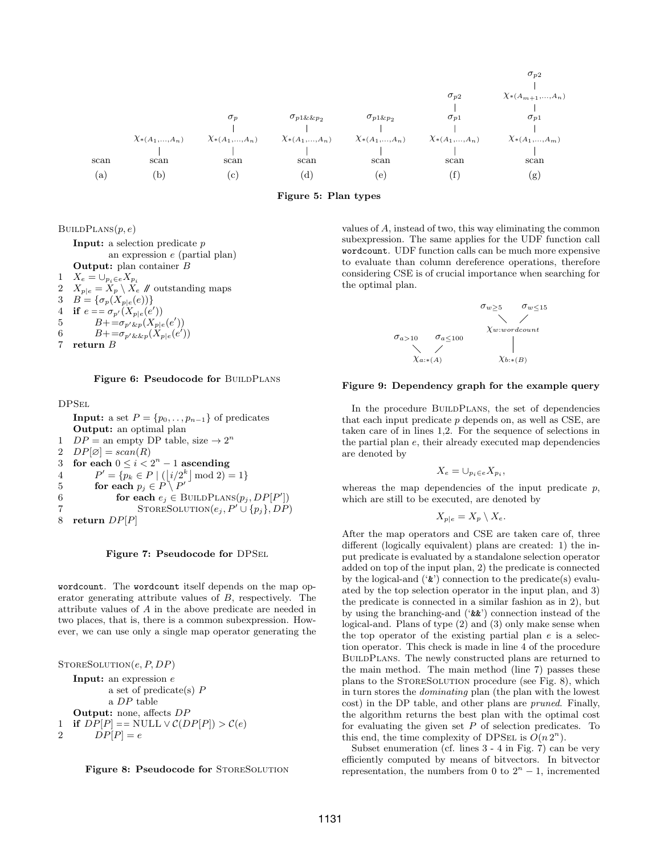



 $BULDPLANS(p, e)$ 

**Input:** a selection predicate  $p$ an expression e (partial plan) Output: plan container B 1  $X_e = \bigcup_{p_i \in e} X_{p_i}$ 2  $X_{p|e} = X_p \setminus X_e$  // outstanding maps 3  $B = {\{\sigma_p(X_{p|e}(e))\}}$ 4 if  $e = \sigma_{p'}(X_{p|e}(e'))$ 5  $B + \frac{1}{-\sigma_{p' \& p}(X_{p|e}(e'))}$ 6  $B = \sigma_{p' \& \& p}(\dot{X}_{p|e}(e'))$ 7 return B

Figure 6: Pseudocode for BUILDPLANS

DPSel

**Input:** a set  $P = \{p_0, \ldots, p_{n-1}\}\$  of predicates Output: an optimal plan 1  $DP =$  an empty DP table, size  $\rightarrow 2^n$ 2  $DP[\emptyset] = scan(R)$ 3 for each  $0 \le i < 2<sup>n</sup> - 1$  ascending 4  $P' = \{p_k \in P \mid (|i/2^k| \mod 2) = 1\}$ 5 **for each**  $p_j \in P \setminus P'$ 6 **for each**  $e_j \in \text{BULDPLANS}(p_j, DP[P'])$ 7 STORESOLUTION $(e_j, P' \cup \{p_j\}, DP)$ 8 return  $DP[P]$ 

Figure 7: Pseudocode for DPSel

wordcount. The wordcount itself depends on the map operator generating attribute values of B, respectively. The attribute values of A in the above predicate are needed in two places, that is, there is a common subexpression. However, we can use only a single map operator generating the

 $STORESOLUTION(e, P, DP)$ Input: an expression e a set of predicate(s) P a DP table Output: none, affects DP 1 if  $DP[P] == NULL \vee \mathcal{C}(DP[P]) > \mathcal{C}(e)$ 2  $DP[P] = e$ 



values of A, instead of two, this way eliminating the common subexpression. The same applies for the UDF function call wordcount. UDF function calls can be much more expensive to evaluate than column dereference operations, therefore considering CSE is of crucial importance when searching for the optimal plan.

$$
\sigma_{w \geq 5} \qquad \sigma_{w \leq 15}
$$
\n
$$
\sigma_{a > 10} \qquad \sigma_{a \leq 100}
$$
\n
$$
\chi_{w: word count}
$$
\n
$$
\chi_{a:*(A)} \qquad \chi_{b:*(B)}
$$

#### Figure 9: Dependency graph for the example query

In the procedure BUILDPLANS, the set of dependencies that each input predicate  $p$  depends on, as well as CSE, are taken care of in lines 1,2. For the sequence of selections in the partial plan e, their already executed map dependencies are denoted by

$$
X_e=\cup_{p_i\in e}X_{p_i},
$$

whereas the map dependencies of the input predicate  $p$ , which are still to be executed, are denoted by

$$
X_{p|e} = X_p \setminus X_e.
$$

After the map operators and CSE are taken care of, three different (logically equivalent) plans are created: 1) the input predicate is evaluated by a standalone selection operator added on top of the input plan, 2) the predicate is connected by the logical-and  $({\cal E})$  connection to the predicate(s) evaluated by the top selection operator in the input plan, and 3) the predicate is connected in a similar fashion as in 2), but by using the branching-and ('&&') connection instead of the logical-and. Plans of type (2) and (3) only make sense when the top operator of the existing partial plan  $e$  is a selection operator. This check is made in line 4 of the procedure BuildPlans. The newly constructed plans are returned to the main method. The main method (line 7) passes these plans to the STORESOLUTION procedure (see Fig. 8), which in turn stores the dominating plan (the plan with the lowest cost) in the DP table, and other plans are pruned. Finally, the algorithm returns the best plan with the optimal cost for evaluating the given set  $P$  of selection predicates. To this end, the time complexity of DPSEL is  $O(n 2<sup>n</sup>)$ .

Subset enumeration (cf. lines 3 - 4 in Fig. 7) can be very efficiently computed by means of bitvectors. In bitvector representation, the numbers from 0 to  $2<sup>n</sup> - 1$ , incremented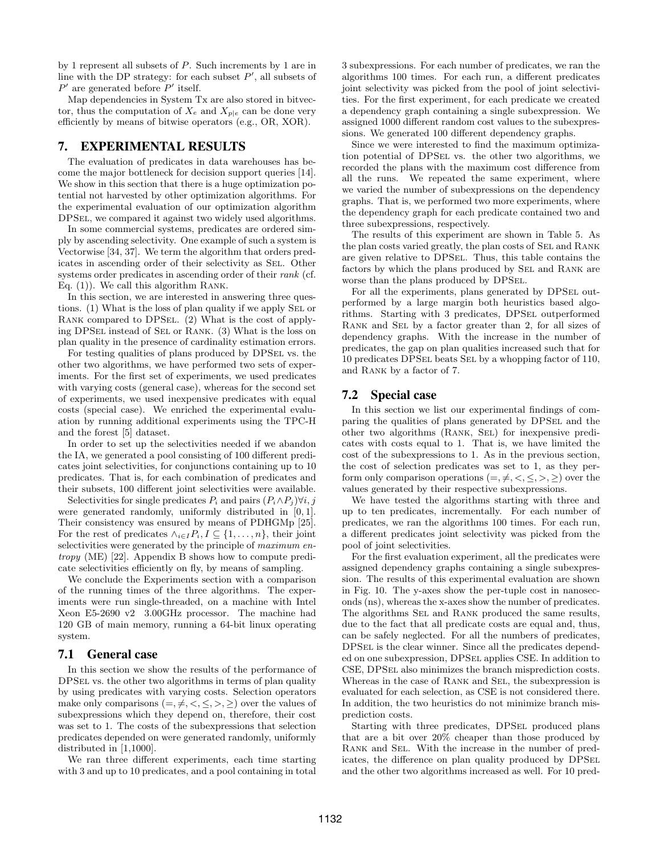by 1 represent all subsets of P. Such increments by 1 are in line with the DP strategy: for each subset  $P'$ , all subsets of  $P'$  are generated before  $P'$  itself.

Map dependencies in System Tx are also stored in bitvector, thus the computation of  $X_e$  and  $X_{p|e}$  can be done very efficiently by means of bitwise operators (e.g., OR, XOR).

# 7. EXPERIMENTAL RESULTS

The evaluation of predicates in data warehouses has become the major bottleneck for decision support queries [14]. We show in this section that there is a huge optimization potential not harvested by other optimization algorithms. For the experimental evaluation of our optimization algorithm DPSel, we compared it against two widely used algorithms.

In some commercial systems, predicates are ordered simply by ascending selectivity. One example of such a system is Vectorwise [34, 37]. We term the algorithm that orders predicates in ascending order of their selectivity as Sel. Other systems order predicates in ascending order of their *rank* (cf. Eq. (1)). We call this algorithm Rank.

In this section, we are interested in answering three questions. (1) What is the loss of plan quality if we apply SEL or Rank compared to DPSel. (2) What is the cost of applying DPSel instead of Sel or Rank. (3) What is the loss on plan quality in the presence of cardinality estimation errors.

For testing qualities of plans produced by DPSel vs. the other two algorithms, we have performed two sets of experiments. For the first set of experiments, we used predicates with varying costs (general case), whereas for the second set of experiments, we used inexpensive predicates with equal costs (special case). We enriched the experimental evaluation by running additional experiments using the TPC-H and the forest [5] dataset.

In order to set up the selectivities needed if we abandon the IA, we generated a pool consisting of 100 different predicates joint selectivities, for conjunctions containing up to 10 predicates. That is, for each combination of predicates and their subsets, 100 different joint selectivities were available.

Selectivities for single predicates  $P_i$  and pairs  $(P_i \wedge P_j) \forall i, j$ were generated randomly, uniformly distributed in [0, 1]. Their consistency was ensured by means of PDHGMp [25]. For the rest of predicates  $\wedge_{i\in I} P_i, I \subseteq \{1,\ldots,n\}$ , their joint selectivities were generated by the principle of maximum entropy (ME) [22]. Appendix B shows how to compute predicate selectivities efficiently on fly, by means of sampling.

We conclude the Experiments section with a comparison of the running times of the three algorithms. The experiments were run single-threaded, on a machine with Intel Xeon E5-2690 v2 3.00GHz processor. The machine had 120 GB of main memory, running a 64-bit linux operating system.

#### 7.1 General case

In this section we show the results of the performance of DPSel vs. the other two algorithms in terms of plan quality by using predicates with varying costs. Selection operators make only comparisons  $(=,\neq,<,\leq,>,\geq)$  over the values of subexpressions which they depend on, therefore, their cost was set to 1. The costs of the subexpressions that selection predicates depended on were generated randomly, uniformly distributed in [1,1000].

We ran three different experiments, each time starting with 3 and up to 10 predicates, and a pool containing in total

3 subexpressions. For each number of predicates, we ran the algorithms 100 times. For each run, a different predicates joint selectivity was picked from the pool of joint selectivities. For the first experiment, for each predicate we created a dependency graph containing a single subexpression. We assigned 1000 different random cost values to the subexpressions. We generated 100 different dependency graphs.

Since we were interested to find the maximum optimization potential of DPSel vs. the other two algorithms, we recorded the plans with the maximum cost difference from all the runs. We repeated the same experiment, where we varied the number of subexpressions on the dependency graphs. That is, we performed two more experiments, where the dependency graph for each predicate contained two and three subexpressions, respectively.

The results of this experiment are shown in Table 5. As the plan costs varied greatly, the plan costs of SEL and RANK are given relative to DPSel. Thus, this table contains the factors by which the plans produced by SEL and RANK are worse than the plans produced by DPSel.

For all the experiments, plans generated by DPSEL outperformed by a large margin both heuristics based algorithms. Starting with 3 predicates, DPSel outperformed Rank and Sel by a factor greater than 2, for all sizes of dependency graphs. With the increase in the number of predicates, the gap on plan qualities increased such that for 10 predicates DPSel beats Sel by a whopping factor of 110, and Rank by a factor of 7.

# 7.2 Special case

In this section we list our experimental findings of comparing the qualities of plans generated by DPSel and the other two algorithms (Rank, Sel) for inexpensive predicates with costs equal to 1. That is, we have limited the cost of the subexpressions to 1. As in the previous section, the cost of selection predicates was set to 1, as they perform only comparison operations  $(=,\neq,<,\leq,>,\geq)$  over the values generated by their respective subexpressions.

We have tested the algorithms starting with three and up to ten predicates, incrementally. For each number of predicates, we ran the algorithms 100 times. For each run, a different predicates joint selectivity was picked from the pool of joint selectivities.

For the first evaluation experiment, all the predicates were assigned dependency graphs containing a single subexpression. The results of this experimental evaluation are shown in Fig. 10. The y-axes show the per-tuple cost in nanoseconds (ns), whereas the x-axes show the number of predicates. The algorithms SEL and RANK produced the same results, due to the fact that all predicate costs are equal and, thus, can be safely neglected. For all the numbers of predicates, DPSel is the clear winner. Since all the predicates depended on one subexpression, DPSel applies CSE. In addition to CSE, DPSEL also minimizes the branch misprediction costs. Whereas in the case of RANK and SEL, the subexpression is evaluated for each selection, as CSE is not considered there. In addition, the two heuristics do not minimize branch misprediction costs.

Starting with three predicates, DPSEL produced plans that are a bit over 20% cheaper than those produced by Rank and Sel. With the increase in the number of predicates, the difference on plan quality produced by DPSEL and the other two algorithms increased as well. For 10 pred-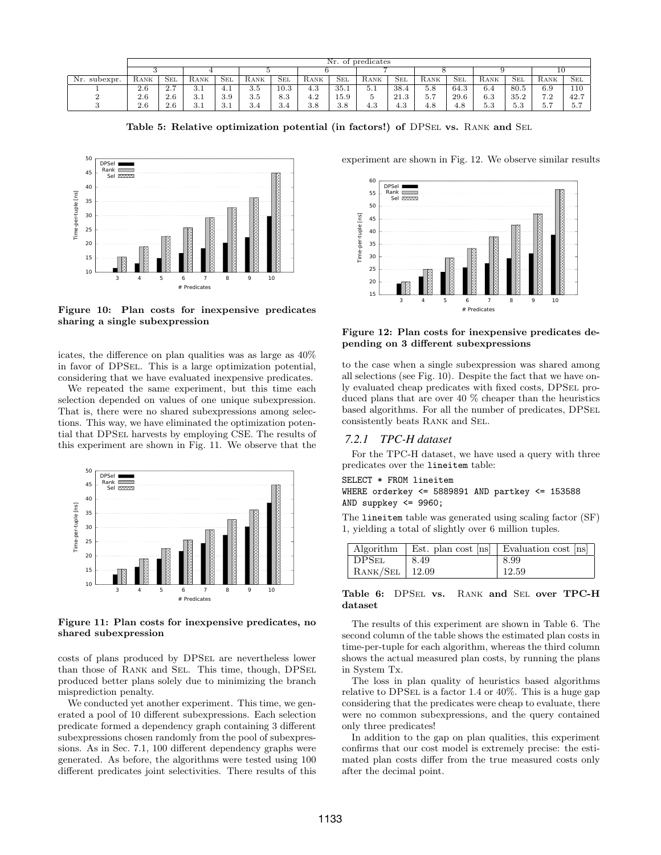|              | Nr. of predicates |            |                          |            |      |              |            |            |      |      |      |              |      |              |      |            |
|--------------|-------------------|------------|--------------------------|------------|------|--------------|------------|------------|------|------|------|--------------|------|--------------|------|------------|
|              |                   |            |                          |            |      |              |            |            |      |      |      |              |      |              | ΠU   |            |
| Nr. subexpr. | RANK              | <b>SEL</b> | RANK                     | <b>SEL</b> | RANK | $_{\rm SEL}$ | RANK       | <b>SEL</b> | RANK | Sel  | RANK | $_{\rm SEL}$ | RANK | $_{\rm SEL}$ | RANK | <b>SEL</b> |
|              | 2.6               | 2.7        | $\cdot$ .1               | 4.1        | 3.5  | 10.3         | - 0<br>4.0 | 35.1       | 5.1  | 38.4 | 5.8  | 64.3         | 6.4  | 80.5         | 6.9  | 110        |
|              | 2.6               | 2.6        | - 2 -<br>. J. 1          | 3.9        | 3.5  | 8.3          | 4.4        | 15.9       |      | 21.3 | 5.7  | 29.6         | 6.3  | 35.2         | 7.2  | 42.7       |
|              | 2.6               | 2.6        | 2 <sup>1</sup><br>. J. 1 | 3.1        | 3.4  | 3.4          | 3.8        | 3.8        | 4.3  | 4.3  | 4.8  | 4.8          | 5.3  | E 9<br>⊍.⊍   | 5.7  | 5.7        |

Table 5: Relative optimization potential (in factors!) of DPSEL vs. RANK and SEL



Figure 10: Plan costs for inexpensive predicates sharing a single subexpression

icates, the difference on plan qualities was as large as 40% in favor of DPSel. This is a large optimization potential, considering that we have evaluated inexpensive predicates.

We repeated the same experiment, but this time each selection depended on values of one unique subexpression. That is, there were no shared subexpressions among selections. This way, we have eliminated the optimization potential that DPSel harvests by employing CSE. The results of this experiment are shown in Fig. 11. We observe that the



Figure 11: Plan costs for inexpensive predicates, no shared subexpression

costs of plans produced by DPSel are nevertheless lower than those of Rank and Sel. This time, though, DPSel produced better plans solely due to minimizing the branch misprediction penalty.

We conducted yet another experiment. This time, we generated a pool of 10 different subexpressions. Each selection predicate formed a dependency graph containing 3 different subexpressions chosen randomly from the pool of subexpressions. As in Sec. 7.1, 100 different dependency graphs were generated. As before, the algorithms were tested using 100 different predicates joint selectivities. There results of this



experiment are shown in Fig. 12. We observe similar results

Figure 12: Plan costs for inexpensive predicates depending on 3 different subexpressions

to the case when a single subexpression was shared among all selections (see Fig. 10). Despite the fact that we have only evaluated cheap predicates with fixed costs, DPSel produced plans that are over 40 % cheaper than the heuristics based algorithms. For all the number of predicates, DPSel consistently beats Rank and Sel.

# *7.2.1 TPC-H dataset*

For the TPC-H dataset, we have used a query with three predicates over the lineitem table:

#### SELECT \* FROM lineitem

## WHERE orderkey <= 5889891 AND partkey <= 153588 AND suppkey <= 9960;

The lineitem table was generated using scaling factor (SF) 1, yielding a total of slightly over 6 million tuples.

| Algorithm                 |      | Est. plan cost [ns]   Evaluation cost [ns] |
|---------------------------|------|--------------------------------------------|
| $\vert$ DPS <sub>EL</sub> | 8.49 | 8.99                                       |
| $RANK/SEL$   12.09        |      | 12.59                                      |

#### Table 6: DPSEL vs. RANK and SEL over TPC-H dataset

The results of this experiment are shown in Table 6. The second column of the table shows the estimated plan costs in time-per-tuple for each algorithm, whereas the third column shows the actual measured plan costs, by running the plans in System Tx.

The loss in plan quality of heuristics based algorithms relative to DPSEL is a factor 1.4 or  $40\%$ . This is a huge gap considering that the predicates were cheap to evaluate, there were no common subexpressions, and the query contained only three predicates!

In addition to the gap on plan qualities, this experiment confirms that our cost model is extremely precise: the estimated plan costs differ from the true measured costs only after the decimal point.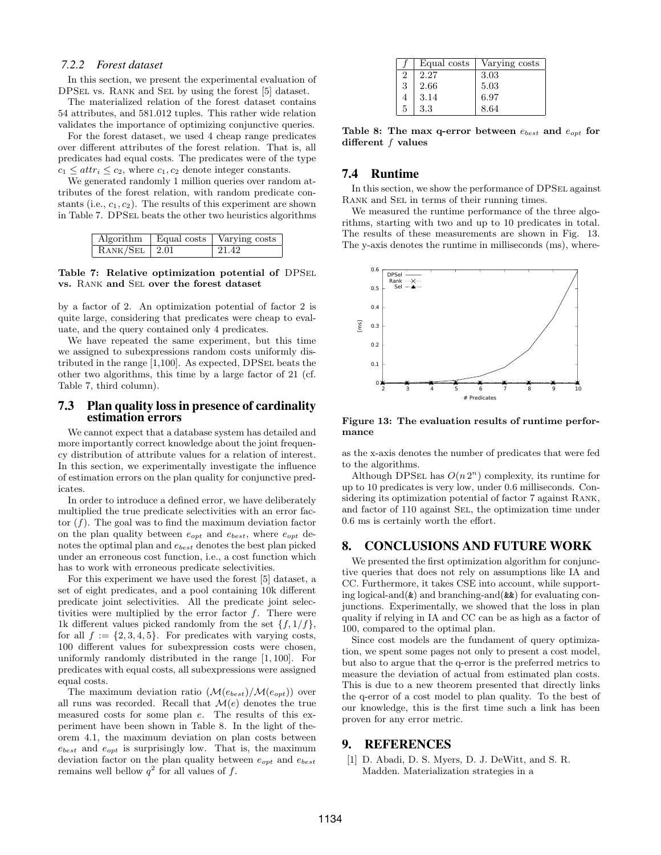#### *7.2.2 Forest dataset*

In this section, we present the experimental evaluation of DPSel vs. Rank and Sel by using the forest [5] dataset.

The materialized relation of the forest dataset contains 54 attributes, and 581.012 tuples. This rather wide relation validates the importance of optimizing conjunctive queries.

For the forest dataset, we used 4 cheap range predicates over different attributes of the forest relation. That is, all predicates had equal costs. The predicates were of the type  $c_1 \leq \text{attr}_i \leq c_2$ , where  $c_1, c_2$  denote integer constants.

We generated randomly 1 million queries over random attributes of the forest relation, with random predicate constants (i.e.,  $c_1, c_2$ ). The results of this experiment are shown in Table 7. DPSel beats the other two heuristics algorithms

|                 | Algorithm   Equal costs   Varying costs |
|-----------------|-----------------------------------------|
| $RANK/SEL$ 2.01 | 21.42                                   |

Table 7: Relative optimization potential of DPSel vs. Rank and Sel over the forest dataset

by a factor of 2. An optimization potential of factor 2 is quite large, considering that predicates were cheap to evaluate, and the query contained only 4 predicates.

We have repeated the same experiment, but this time we assigned to subexpressions random costs uniformly distributed in the range  $[1,100]$ . As expected, DPSEL beats the other two algorithms, this time by a large factor of 21 (cf. Table 7, third column).

#### 7.3 Plan quality loss in presence of cardinality estimation errors

We cannot expect that a database system has detailed and more importantly correct knowledge about the joint frequency distribution of attribute values for a relation of interest. In this section, we experimentally investigate the influence of estimation errors on the plan quality for conjunctive predicates.

In order to introduce a defined error, we have deliberately multiplied the true predicate selectivities with an error factor  $(f)$ . The goal was to find the maximum deviation factor on the plan quality between  $e_{opt}$  and  $e_{best}$ , where  $e_{opt}$  denotes the optimal plan and  $e_{best}$  denotes the best plan picked under an erroneous cost function, i.e., a cost function which has to work with erroneous predicate selectivities.

For this experiment we have used the forest [5] dataset, a set of eight predicates, and a pool containing 10k different predicate joint selectivities. All the predicate joint selectivities were multiplied by the error factor  $f$ . There were 1k different values picked randomly from the set  $\{f, 1/f\}$ , for all  $f := \{2, 3, 4, 5\}$ . For predicates with varying costs, 100 different values for subexpression costs were chosen, uniformly randomly distributed in the range [1, 100]. For predicates with equal costs, all subexpressions were assigned equal costs.

The maximum deviation ratio  $(\mathcal{M}(e_{best})/\mathcal{M}(e_{opt}))$  over all runs was recorded. Recall that  $\mathcal{M}(e)$  denotes the true measured costs for some plan e. The results of this experiment have been shown in Table 8. In the light of theorem 4.1, the maximum deviation on plan costs between  $e_{best}$  and  $e_{opt}$  is surprisingly low. That is, the maximum deviation factor on the plan quality between  $e_{opt}$  and  $e_{best}$ remains well bellow  $q^2$  for all values of f.

|   | Equal costs | Varying costs |
|---|-------------|---------------|
| 2 | 2.27        | 3.03          |
| 3 | 2.66        | 5.03          |
| 4 | 3.14        | 6.97          |
| 5 | 3.3         | 8.64          |

Table 8: The max q-error between  $e_{best}$  and  $e_{opt}$  for different f values

# 7.4 Runtime

In this section, we show the performance of DPSEL against RANK and SEL in terms of their running times.

We measured the runtime performance of the three algorithms, starting with two and up to 10 predicates in total. The results of these measurements are shown in Fig. 13. The y-axis denotes the runtime in milliseconds (ms), where-



Figure 13: The evaluation results of runtime performance

as the x-axis denotes the number of predicates that were fed to the algorithms.

Although DPSEL has  $O(n 2<sup>n</sup>)$  complexity, its runtime for up to 10 predicates is very low, under 0.6 milliseconds. Considering its optimization potential of factor 7 against Rank, and factor of 110 against Sel, the optimization time under 0.6 ms is certainly worth the effort.

# 8. CONCLUSIONS AND FUTURE WORK

We presented the first optimization algorithm for conjunctive queries that does not rely on assumptions like IA and CC. Furthermore, it takes CSE into account, while supporting logical-and( $\&$ ) and branching-and( $\&\&$ ) for evaluating conjunctions. Experimentally, we showed that the loss in plan quality if relying in IA and CC can be as high as a factor of 100, compared to the optimal plan.

Since cost models are the fundament of query optimization, we spent some pages not only to present a cost model, but also to argue that the q-error is the preferred metrics to measure the deviation of actual from estimated plan costs. This is due to a new theorem presented that directly links the q-error of a cost model to plan quality. To the best of our knowledge, this is the first time such a link has been proven for any error metric.

## 9. REFERENCES

[1] D. Abadi, D. S. Myers, D. J. DeWitt, and S. R. Madden. Materialization strategies in a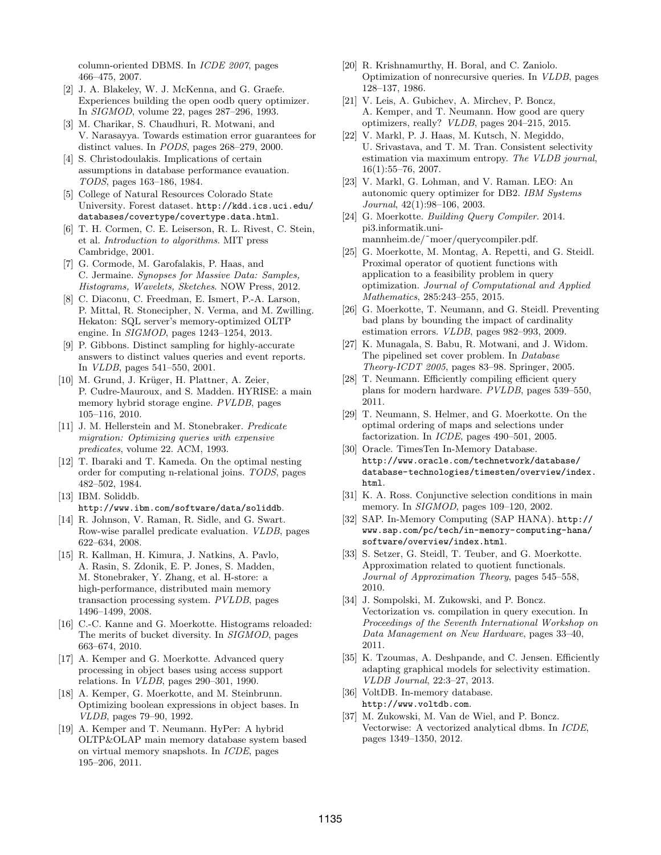column-oriented DBMS. In ICDE 2007, pages 466–475, 2007.

- [2] J. A. Blakeley, W. J. McKenna, and G. Graefe. Experiences building the open oodb query optimizer. In SIGMOD, volume 22, pages 287–296, 1993.
- [3] M. Charikar, S. Chaudhuri, R. Motwani, and V. Narasayya. Towards estimation error guarantees for distinct values. In PODS, pages 268–279, 2000.
- [4] S. Christodoulakis. Implications of certain assumptions in database performance evauation. TODS, pages 163–186, 1984.
- [5] College of Natural Resources Colorado State University. Forest dataset. http://kdd.ics.uci.edu/ databases/covertype/covertype.data.html.
- [6] T. H. Cormen, C. E. Leiserson, R. L. Rivest, C. Stein, et al. Introduction to algorithms. MIT press Cambridge, 2001.
- [7] G. Cormode, M. Garofalakis, P. Haas, and C. Jermaine. Synopses for Massive Data: Samples, Histograms, Wavelets, Sketches. NOW Press, 2012.
- [8] C. Diaconu, C. Freedman, E. Ismert, P.-A. Larson, P. Mittal, R. Stonecipher, N. Verma, and M. Zwilling. Hekaton: SQL server's memory-optimized OLTP engine. In SIGMOD, pages 1243–1254, 2013.
- [9] P. Gibbons. Distinct sampling for highly-accurate answers to distinct values queries and event reports. In VLDB, pages 541–550, 2001.
- [10] M. Grund, J. Krüger, H. Plattner, A. Zeier, P. Cudre-Mauroux, and S. Madden. HYRISE: a main memory hybrid storage engine. PVLDB, pages 105–116, 2010.
- [11] J. M. Hellerstein and M. Stonebraker. Predicate migration: Optimizing queries with expensive predicates, volume 22. ACM, 1993.
- [12] T. Ibaraki and T. Kameda. On the optimal nesting order for computing n-relational joins. TODS, pages 482–502, 1984.
- [13] IBM. Soliddb. http://www.ibm.com/software/data/soliddb.
- [14] R. Johnson, V. Raman, R. Sidle, and G. Swart. Row-wise parallel predicate evaluation. VLDB, pages 622–634, 2008.
- [15] R. Kallman, H. Kimura, J. Natkins, A. Pavlo, A. Rasin, S. Zdonik, E. P. Jones, S. Madden, M. Stonebraker, Y. Zhang, et al. H-store: a high-performance, distributed main memory transaction processing system. PVLDB, pages 1496–1499, 2008.
- [16] C.-C. Kanne and G. Moerkotte. Histograms reloaded: The merits of bucket diversity. In SIGMOD, pages 663–674, 2010.
- [17] A. Kemper and G. Moerkotte. Advanced query processing in object bases using access support relations. In VLDB, pages 290–301, 1990.
- [18] A. Kemper, G. Moerkotte, and M. Steinbrunn. Optimizing boolean expressions in object bases. In VLDB, pages 79–90, 1992.
- [19] A. Kemper and T. Neumann. HyPer: A hybrid OLTP&OLAP main memory database system based on virtual memory snapshots. In ICDE, pages 195–206, 2011.
- [20] R. Krishnamurthy, H. Boral, and C. Zaniolo. Optimization of nonrecursive queries. In VLDB, pages 128–137, 1986.
- [21] V. Leis, A. Gubichev, A. Mirchev, P. Boncz, A. Kemper, and T. Neumann. How good are query optimizers, really? VLDB, pages 204–215, 2015.
- [22] V. Markl, P. J. Haas, M. Kutsch, N. Megiddo, U. Srivastava, and T. M. Tran. Consistent selectivity estimation via maximum entropy. The VLDB journal, 16(1):55–76, 2007.
- [23] V. Markl, G. Lohman, and V. Raman. LEO: An autonomic query optimizer for DB2. IBM Systems Journal, 42(1):98–106, 2003.
- [24] G. Moerkotte. Building Query Compiler. 2014. pi3.informatik.unimannheim.de/˜moer/querycompiler.pdf.
- [25] G. Moerkotte, M. Montag, A. Repetti, and G. Steidl. Proximal operator of quotient functions with application to a feasibility problem in query optimization. Journal of Computational and Applied Mathematics, 285:243–255, 2015.
- [26] G. Moerkotte, T. Neumann, and G. Steidl. Preventing bad plans by bounding the impact of cardinality estimation errors. VLDB, pages 982–993, 2009.
- [27] K. Munagala, S. Babu, R. Motwani, and J. Widom. The pipelined set cover problem. In Database Theory-ICDT 2005, pages 83–98. Springer, 2005.
- [28] T. Neumann. Efficiently compiling efficient query plans for modern hardware. PVLDB, pages 539–550, 2011.
- [29] T. Neumann, S. Helmer, and G. Moerkotte. On the optimal ordering of maps and selections under factorization. In ICDE, pages 490–501, 2005.
- [30] Oracle. TimesTen In-Memory Database. http://www.oracle.com/technetwork/database/ database-technologies/timesten/overview/index. html.
- [31] K. A. Ross. Conjunctive selection conditions in main memory. In *SIGMOD*, pages 109–120, 2002.
- [32] SAP. In-Memory Computing (SAP HANA). http:// www.sap.com/pc/tech/in-memory-computing-hana/ software/overview/index.html.
- [33] S. Setzer, G. Steidl, T. Teuber, and G. Moerkotte. Approximation related to quotient functionals. Journal of Approximation Theory, pages 545–558, 2010.
- [34] J. Sompolski, M. Zukowski, and P. Boncz. Vectorization vs. compilation in query execution. In Proceedings of the Seventh International Workshop on Data Management on New Hardware, pages 33–40, 2011.
- [35] K. Tzoumas, A. Deshpande, and C. Jensen. Efficiently adapting graphical models for selectivity estimation. VLDB Journal, 22:3–27, 2013.
- [36] VoltDB. In-memory database. http://www.voltdb.com.
- [37] M. Zukowski, M. Van de Wiel, and P. Boncz. Vectorwise: A vectorized analytical dbms. In ICDE, pages 1349–1350, 2012.